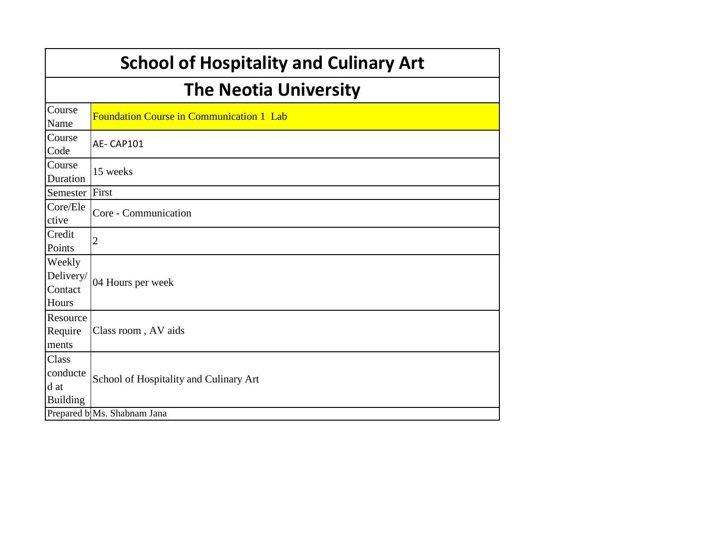|                                              | <b>School of Hospitality and Culinary Art</b>   |
|----------------------------------------------|-------------------------------------------------|
|                                              | <b>The Neotia University</b>                    |
| Course<br>Name                               | <b>Foundation Course in Communication 1 Lab</b> |
| Course<br>Code                               | AE-CAP101                                       |
| Course<br>Duration                           | 15 weeks                                        |
| Semester                                     | First                                           |
| Core/Ele<br>ctive                            | Core - Communication                            |
| Credit<br>Points                             | $\overline{c}$                                  |
| Weekly<br>Delivery/<br>Contact<br>Hours      | 04 Hours per week                               |
| Resource<br>Require<br>ments                 | Class room, AV aids                             |
| Class<br>conducte<br>d at<br><b>Building</b> | School of Hospitality and Culinary Art          |
|                                              | Prepared b Ms. Shabnam Jana                     |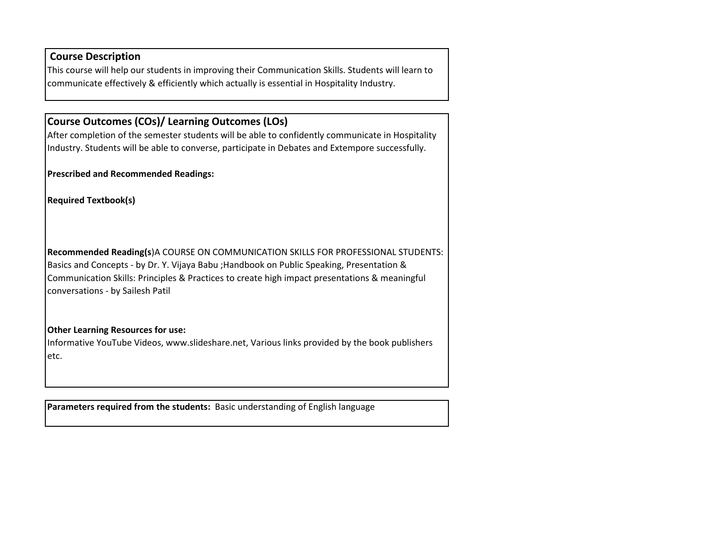### **Course Description**

This course will help our students in improving their Communication Skills. Students will learn to communicate effectively & efficiently which actually is essential in Hospitality Industry.

# **Course Outcomes (COs)/ Learning Outcomes (LOs)**

After completion of the semester students will be able to confidently communicate in Hospitality Industry. Students will be able to converse, participate in Debates and Extempore successfully.

**Prescribed and Recommended Readings:**

**Required Textbook(s)**

**Recommended Reading(s**)A COURSE ON COMMUNICATION SKILLS FOR PROFESSIONAL STUDENTS: Basics and Concepts - by Dr. Y. Vijaya Babu ;Handbook on Public Speaking, Presentation & Communication Skills: Principles & Practices to create high impact presentations & meaningful conversations - by Sailesh Patil

#### **Other Learning Resources for use:**

Informative YouTube Videos, www.slideshare.net, Various links provided by the book publishers etc.

**Parameters required from the students:** Basic understanding of English language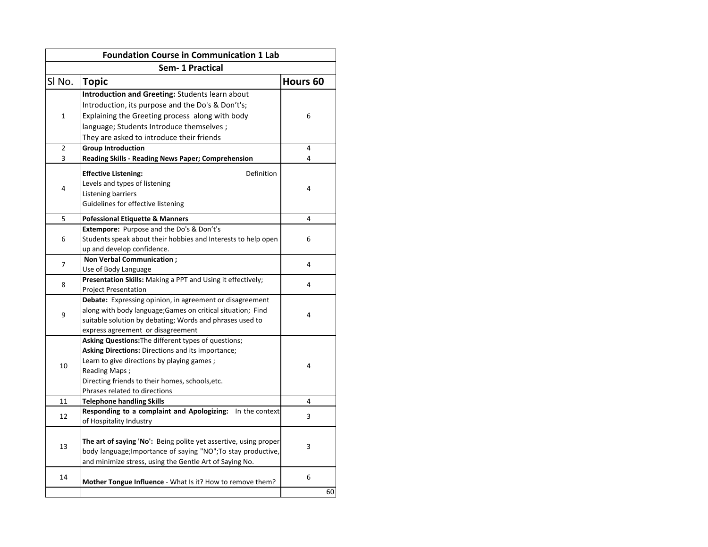|             | <b>Foundation Course in Communication 1 Lab</b>                  |                     |
|-------------|------------------------------------------------------------------|---------------------|
|             | Sem-1 Practical                                                  |                     |
| SI No.      | <b>Topic</b>                                                     | Hours <sub>60</sub> |
|             | Introduction and Greeting: Students learn about                  |                     |
|             | Introduction, its purpose and the Do's & Don't's;                |                     |
| $\mathbf 1$ | Explaining the Greeting process along with body                  | 6                   |
|             | language; Students Introduce themselves ;                        |                     |
|             | They are asked to introduce their friends                        |                     |
| 2           | <b>Group Introduction</b>                                        | 4                   |
| 3           | Reading Skills - Reading News Paper; Comprehension               | 4                   |
|             | <b>Effective Listening:</b><br>Definition                        |                     |
|             | Levels and types of listening                                    |                     |
| 4           | Listening barriers                                               | 4                   |
|             | Guidelines for effective listening                               |                     |
|             |                                                                  |                     |
| 5           | <b>Pofessional Etiquette &amp; Manners</b>                       | 4                   |
|             | <b>Extempore:</b> Purpose and the Do's & Don't's                 |                     |
| 6           | Students speak about their hobbies and Interests to help open    | 6                   |
|             | up and develop confidence.                                       |                     |
| 7           | <b>Non Verbal Communication:</b>                                 | 4                   |
|             | Use of Body Language                                             |                     |
| 8           | Presentation Skills: Making a PPT and Using it effectively;      | 4                   |
|             | <b>Project Presentation</b>                                      |                     |
|             | Debate: Expressing opinion, in agreement or disagreement         |                     |
| 9           | along with body language; Games on critical situation; Find      | 4                   |
|             | suitable solution by debating; Words and phrases used to         |                     |
|             | express agreement or disagreement                                |                     |
|             | Asking Questions: The different types of questions;              |                     |
|             | Asking Directions: Directions and its importance;                |                     |
| 10          | Learn to give directions by playing games;                       | 4                   |
|             | Reading Maps;                                                    |                     |
|             | Directing friends to their homes, schools, etc.                  |                     |
|             | Phrases related to directions                                    |                     |
| 11          | <b>Telephone handling Skills</b>                                 | 4                   |
| 12          | Responding to a complaint and Apologizing: In the context        | 3                   |
|             | of Hospitality Industry                                          |                     |
|             |                                                                  |                     |
| 13          | The art of saying 'No': Being polite yet assertive, using proper | 3                   |
|             | body language; Importance of saying "NO"; To stay productive,    |                     |
|             | and minimize stress, using the Gentle Art of Saying No.          |                     |
| 14          |                                                                  | 6                   |
|             | Mother Tongue Influence - What Is it? How to remove them?        |                     |
|             |                                                                  | 60                  |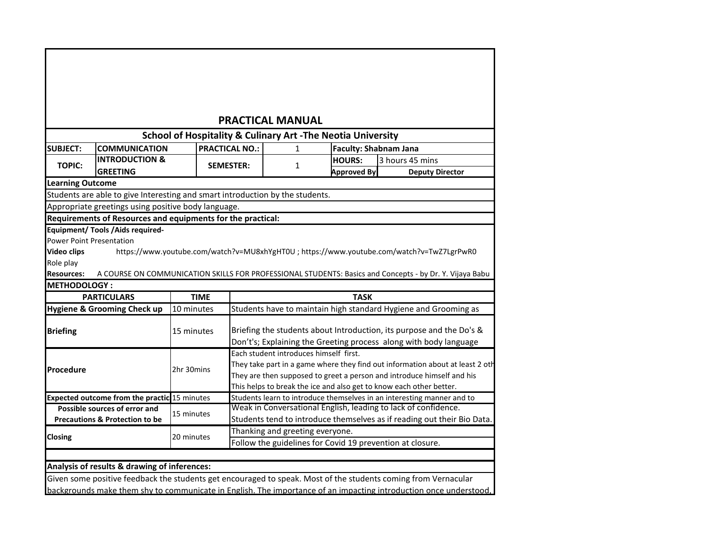| <b>PRACTICAL MANUAL</b>                                                                                                                                   |                                                                               |             |                       |                                        |                                      |                                                                                                         |  |  |  |  |  |
|-----------------------------------------------------------------------------------------------------------------------------------------------------------|-------------------------------------------------------------------------------|-------------|-----------------------|----------------------------------------|--------------------------------------|---------------------------------------------------------------------------------------------------------|--|--|--|--|--|
| <b>School of Hospitality &amp; Culinary Art -The Neotia University</b>                                                                                    |                                                                               |             |                       |                                        |                                      |                                                                                                         |  |  |  |  |  |
| <b>SUBJECT:</b>                                                                                                                                           | <b>COMMUNICATION</b>                                                          |             | <b>PRACTICAL NO.:</b> | 1                                      | <b>Faculty: Shabnam Jana</b>         |                                                                                                         |  |  |  |  |  |
| <b>TOPIC:</b>                                                                                                                                             | <b>INTRODUCTION &amp;</b><br><b>GREETING</b>                                  |             | <b>SEMESTER:</b>      | 1                                      | <b>HOURS:</b><br><b>Approved By:</b> | 3 hours 45 mins<br><b>Deputy Director</b>                                                               |  |  |  |  |  |
| <b>Learning Outcome</b>                                                                                                                                   |                                                                               |             |                       |                                        |                                      |                                                                                                         |  |  |  |  |  |
|                                                                                                                                                           | Students are able to give Interesting and smart introduction by the students. |             |                       |                                        |                                      |                                                                                                         |  |  |  |  |  |
|                                                                                                                                                           | Appropriate greetings using positive body language.                           |             |                       |                                        |                                      |                                                                                                         |  |  |  |  |  |
|                                                                                                                                                           | Requirements of Resources and equipments for the practical:                   |             |                       |                                        |                                      |                                                                                                         |  |  |  |  |  |
|                                                                                                                                                           |                                                                               |             |                       |                                        |                                      |                                                                                                         |  |  |  |  |  |
|                                                                                                                                                           | Equipment/ Tools / Aids required-                                             |             |                       |                                        |                                      |                                                                                                         |  |  |  |  |  |
|                                                                                                                                                           |                                                                               |             |                       |                                        |                                      |                                                                                                         |  |  |  |  |  |
|                                                                                                                                                           |                                                                               |             |                       |                                        |                                      | https://www.youtube.com/watch?v=MU8xhYgHT0U ; https://www.youtube.com/watch?v=TwZ7LgrPwR0               |  |  |  |  |  |
|                                                                                                                                                           |                                                                               |             |                       |                                        |                                      |                                                                                                         |  |  |  |  |  |
|                                                                                                                                                           |                                                                               |             |                       |                                        |                                      | A COURSE ON COMMUNICATION SKILLS FOR PROFESSIONAL STUDENTS: Basics and Concepts - by Dr. Y. Vijaya Babu |  |  |  |  |  |
|                                                                                                                                                           |                                                                               |             |                       |                                        |                                      |                                                                                                         |  |  |  |  |  |
|                                                                                                                                                           | <b>PARTICULARS</b>                                                            | <b>TIME</b> |                       |                                        | <b>TASK</b>                          |                                                                                                         |  |  |  |  |  |
|                                                                                                                                                           | Hygiene & Grooming Check up                                                   | 10 minutes  |                       |                                        |                                      | Students have to maintain high standard Hygiene and Grooming as                                         |  |  |  |  |  |
|                                                                                                                                                           |                                                                               | 15 minutes  |                       |                                        |                                      | Briefing the students about Introduction, its purpose and the Do's &                                    |  |  |  |  |  |
|                                                                                                                                                           |                                                                               |             |                       |                                        |                                      | Don't's; Explaining the Greeting process along with body language                                       |  |  |  |  |  |
|                                                                                                                                                           |                                                                               |             |                       | Each student introduces himself first. |                                      |                                                                                                         |  |  |  |  |  |
|                                                                                                                                                           |                                                                               |             |                       |                                        |                                      | They take part in a game where they find out information about at least 2 oth                           |  |  |  |  |  |
|                                                                                                                                                           |                                                                               | 2hr 30mins  |                       |                                        |                                      | They are then supposed to greet a person and introduce himself and his                                  |  |  |  |  |  |
|                                                                                                                                                           |                                                                               |             |                       |                                        |                                      | This helps to break the ice and also get to know each other better.                                     |  |  |  |  |  |
|                                                                                                                                                           | <b>Expected outcome from the practic 15 minutes</b>                           |             |                       |                                        |                                      | Students learn to introduce themselves in an interesting manner and to                                  |  |  |  |  |  |
|                                                                                                                                                           | Possible sources of error and                                                 |             |                       |                                        |                                      | Weak in Conversational English, leading to lack of confidence.                                          |  |  |  |  |  |
|                                                                                                                                                           | <b>Precautions &amp; Protection to be</b>                                     | 15 minutes  |                       |                                        |                                      | Students tend to introduce themselves as if reading out their Bio Data.                                 |  |  |  |  |  |
| <b>Power Point Presentation</b><br><b>Video clips</b><br>Role play<br><b>Resources:</b><br><b>METHODOLOGY:</b><br><b>Briefing</b><br>Procedure<br>Closing |                                                                               | 20 minutes  |                       | Thanking and greeting everyone.        |                                      | Follow the guidelines for Covid 19 prevention at closure.                                               |  |  |  |  |  |

**Analysis of results & drawing of inferences:**

Given some positive feedback the students get encouraged to speak. Most of the students coming from Vernacular backgrounds make them shy to communicate in English. The importance of an impacting introduction once understood,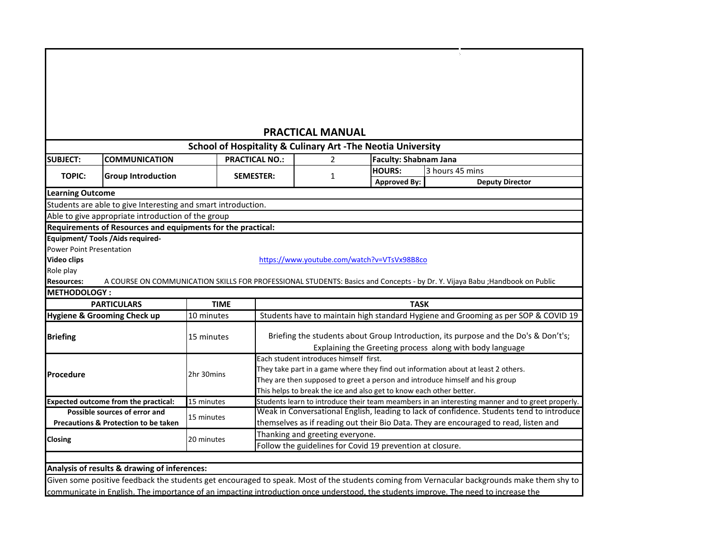|                                                                                                                                     |             |                       | <b>PRACTICAL MANUAL</b>                |                                                                        |                                                                                                                                                 |
|-------------------------------------------------------------------------------------------------------------------------------------|-------------|-----------------------|----------------------------------------|------------------------------------------------------------------------|-------------------------------------------------------------------------------------------------------------------------------------------------|
|                                                                                                                                     |             |                       |                                        | <b>School of Hospitality &amp; Culinary Art -The Neotia University</b> |                                                                                                                                                 |
| <b>SUBJECT:</b><br><b>COMMUNICATION</b>                                                                                             |             | <b>PRACTICAL NO.:</b> | $\overline{2}$                         | <b>Faculty: Shabnam Jana</b>                                           |                                                                                                                                                 |
| <b>TOPIC:</b><br><b>Group Introduction</b>                                                                                          |             | <b>SEMESTER:</b>      | 1                                      | <b>HOURS:</b>                                                          | 3 hours 45 mins                                                                                                                                 |
|                                                                                                                                     |             |                       |                                        | <b>Approved By:</b>                                                    | <b>Deputy Director</b>                                                                                                                          |
| <b>Learning Outcome</b>                                                                                                             |             |                       |                                        |                                                                        |                                                                                                                                                 |
| Students are able to give Interesting and smart introduction.                                                                       |             |                       |                                        |                                                                        |                                                                                                                                                 |
| Able to give appropriate introduction of the group                                                                                  |             |                       |                                        |                                                                        |                                                                                                                                                 |
| Requirements of Resources and equipments for the practical:                                                                         |             |                       |                                        |                                                                        |                                                                                                                                                 |
| <b>Equipment/ Tools / Aids required-</b>                                                                                            |             |                       |                                        |                                                                        |                                                                                                                                                 |
| <b>Power Point Presentation</b>                                                                                                     |             |                       |                                        |                                                                        |                                                                                                                                                 |
| <b>Video clips</b>                                                                                                                  |             |                       |                                        | https://www.youtube.com/watch?v=VTsVx98B8co                            |                                                                                                                                                 |
| Role play                                                                                                                           |             |                       |                                        |                                                                        |                                                                                                                                                 |
| <b>Resources:</b>                                                                                                                   |             |                       |                                        |                                                                        | A COURSE ON COMMUNICATION SKILLS FOR PROFESSIONAL STUDENTS: Basics and Concepts - by Dr. Y. Vijaya Babu ; Handbook on Public                    |
| <b>METHODOLOGY:</b>                                                                                                                 |             |                       |                                        |                                                                        |                                                                                                                                                 |
| <b>PARTICULARS</b>                                                                                                                  | <b>TIME</b> |                       |                                        | <b>TASK</b>                                                            |                                                                                                                                                 |
| <b>Hygiene &amp; Grooming Check up</b>                                                                                              | 10 minutes  |                       |                                        |                                                                        | Students have to maintain high standard Hygiene and Grooming as per SOP & COVID 19                                                              |
| <b>Briefing</b>                                                                                                                     | 15 minutes  |                       |                                        |                                                                        | Briefing the students about Group Introduction, its purpose and the Do's & Don't's;<br>Explaining the Greeting process along with body language |
|                                                                                                                                     |             |                       | Each student introduces himself first. |                                                                        |                                                                                                                                                 |
|                                                                                                                                     |             |                       |                                        |                                                                        | They take part in a game where they find out information about at least 2 others.                                                               |
| <b>Procedure</b>                                                                                                                    | 2hr 30mins  |                       |                                        |                                                                        | They are then supposed to greet a person and introduce himself and his group                                                                    |
|                                                                                                                                     |             |                       |                                        | This helps to break the ice and also get to know each other better.    |                                                                                                                                                 |
| <b>Expected outcome from the practical:</b>                                                                                         | 15 minutes  |                       |                                        |                                                                        | Students learn to introduce their team meambers in an interesting manner and to greet properly.                                                 |
| Possible sources of error and                                                                                                       | 15 minutes  |                       |                                        |                                                                        | Weak in Conversational English, leading to lack of confidence. Students tend to introduce                                                       |
| <b>Precautions &amp; Protection to be taken</b>                                                                                     |             |                       |                                        |                                                                        | themselves as if reading out their Bio Data. They are encouraged to read, listen and                                                            |
| Closing                                                                                                                             | 20 minutes  |                       | Thanking and greeting everyone.        |                                                                        |                                                                                                                                                 |
|                                                                                                                                     |             |                       |                                        | Follow the guidelines for Covid 19 prevention at closure.              |                                                                                                                                                 |
|                                                                                                                                     |             |                       |                                        |                                                                        |                                                                                                                                                 |
| Analysis of results & drawing of inferences:                                                                                        |             |                       |                                        |                                                                        |                                                                                                                                                 |
|                                                                                                                                     |             |                       |                                        |                                                                        | Given some positive feedback the students get encouraged to speak. Most of the students coming from Vernacular backgrounds make them shy to     |
| communicate in English. The importance of an impacting introduction once understood, the students improve. The need to increase the |             |                       |                                        |                                                                        |                                                                                                                                                 |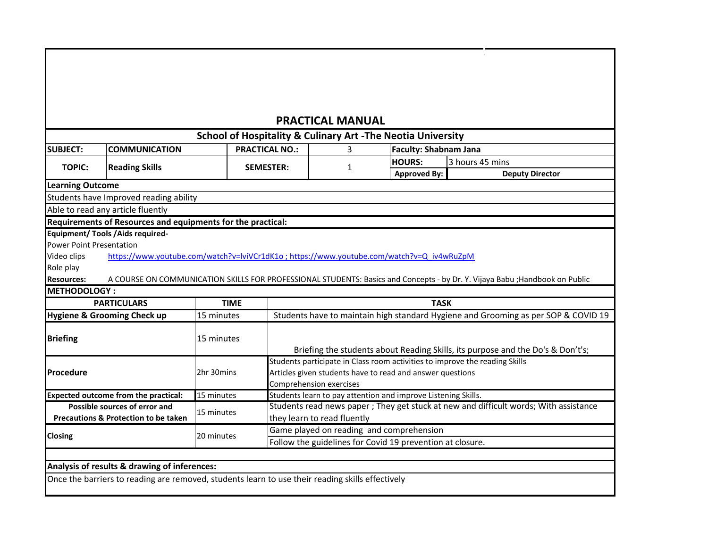# **PRACTICAL MANUAL**

 $\mathcal{L}_\mathrm{c}$ 

|                                 |                                                                                                  |             |                       | <b>School of Hospitality &amp; Culinary Art - The Neotia University</b> |                              |                                                                                                                              |
|---------------------------------|--------------------------------------------------------------------------------------------------|-------------|-----------------------|-------------------------------------------------------------------------|------------------------------|------------------------------------------------------------------------------------------------------------------------------|
| <b>SUBJECT:</b>                 | <b>COMMUNICATION</b>                                                                             |             | <b>PRACTICAL NO.:</b> | 3.                                                                      | <b>Faculty: Shabnam Jana</b> |                                                                                                                              |
| <b>TOPIC:</b>                   |                                                                                                  |             | <b>SEMESTER:</b>      |                                                                         | <b>HOURS:</b>                | 3 hours 45 mins                                                                                                              |
|                                 | <b>Reading Skills</b>                                                                            |             |                       | 1                                                                       | <b>Approved By:</b>          | <b>Deputy Director</b>                                                                                                       |
| <b>Learning Outcome</b>         |                                                                                                  |             |                       |                                                                         |                              |                                                                                                                              |
|                                 | Students have Improved reading ability                                                           |             |                       |                                                                         |                              |                                                                                                                              |
|                                 | Able to read any article fluently                                                                |             |                       |                                                                         |                              |                                                                                                                              |
|                                 | Requirements of Resources and equipments for the practical:                                      |             |                       |                                                                         |                              |                                                                                                                              |
|                                 | <b>Equipment/ Tools / Aids required-</b>                                                         |             |                       |                                                                         |                              |                                                                                                                              |
| <b>Power Point Presentation</b> |                                                                                                  |             |                       |                                                                         |                              |                                                                                                                              |
| Video clips                     | https://www.youtube.com/watch?v=lviVCr1dK1o; https://www.youtube.com/watch?v=Q_iv4wRuZpM         |             |                       |                                                                         |                              |                                                                                                                              |
| Role play                       |                                                                                                  |             |                       |                                                                         |                              |                                                                                                                              |
| <b>Resources:</b>               |                                                                                                  |             |                       |                                                                         |                              | A COURSE ON COMMUNICATION SKILLS FOR PROFESSIONAL STUDENTS: Basics and Concepts - by Dr. Y. Vijaya Babu ; Handbook on Public |
| <b>METHODOLOGY:</b>             |                                                                                                  |             |                       |                                                                         |                              |                                                                                                                              |
|                                 | <b>PARTICULARS</b>                                                                               | <b>TIME</b> |                       |                                                                         | <b>TASK</b>                  |                                                                                                                              |
|                                 | <b>Hygiene &amp; Grooming Check up</b>                                                           | 15 minutes  |                       |                                                                         |                              | Students have to maintain high standard Hygiene and Grooming as per SOP & COVID 19                                           |
|                                 |                                                                                                  |             |                       |                                                                         |                              |                                                                                                                              |
| <b>Briefing</b>                 |                                                                                                  | 15 minutes  |                       |                                                                         |                              |                                                                                                                              |
|                                 |                                                                                                  |             |                       |                                                                         |                              | Briefing the students about Reading Skills, its purpose and the Do's & Don't's;                                              |
|                                 |                                                                                                  |             |                       |                                                                         |                              | Students participate in Class room activities to improve the reading Skills                                                  |
| Procedure                       |                                                                                                  | 2hr 30mins  |                       | Articles given students have to read and answer questions               |                              |                                                                                                                              |
|                                 |                                                                                                  |             |                       | <b>Comprehension exercises</b>                                          |                              |                                                                                                                              |
|                                 | <b>Expected outcome from the practical:</b>                                                      | 15 minutes  |                       | Students learn to pay attention and improve Listening Skills.           |                              |                                                                                                                              |
|                                 | Possible sources of error and                                                                    | 15 minutes  |                       |                                                                         |                              | Students read news paper; They get stuck at new and difficult words; With assistance                                         |
|                                 | Precautions & Protection to be taken                                                             |             |                       | they learn to read fluently                                             |                              |                                                                                                                              |
| <b>Closing</b>                  |                                                                                                  | 20 minutes  |                       | Game played on reading and comprehension                                |                              |                                                                                                                              |
|                                 |                                                                                                  |             |                       | Follow the guidelines for Covid 19 prevention at closure.               |                              |                                                                                                                              |
|                                 |                                                                                                  |             |                       |                                                                         |                              |                                                                                                                              |
|                                 | Analysis of results & drawing of inferences:                                                     |             |                       |                                                                         |                              |                                                                                                                              |
|                                 | Once the barriers to reading are removed, students learn to use their reading skills effectively |             |                       |                                                                         |                              |                                                                                                                              |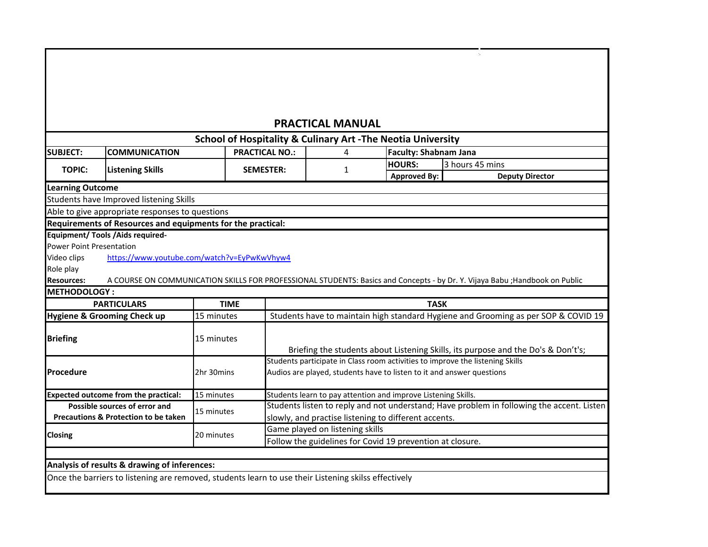#### **SUBJECT: COMMUNICATION HOURS:** 3 hours 45 mins **Approved By: Deputy Director Requirements of Resources and equipments for the practical: Equipment/ Tools /Aids required-**Power Point Presentation Video clips Role play **Resources: Hygiene & Grooming Check up** 15 minutes **Expected outcome from the practical:** 15 minutes Students learn to pay attention and improve Listening Skills. Once the barriers to listening are removed, students learn to use their Listening skilss effectively Follow the guidelines for Covid 19 prevention at closure. **Analysis of results & drawing of inferences: TOPIC: Listening Skills SEMESTER:** 1 **Briefing** 15 minutes Briefing the students about Listening Skills, its purpose and the Do's & Don't's; **Procedure** 2hr 30mins **Possible sources of error and Precautions & Protection to be taken** 15 minutes Students listen to reply and not understand; Have problem in following the accent. Listen slowly, and practise listening to different accents. **Closing** Students participate in Class room activities to improve the listening Skills Audios are played, students have to listen to it and answer questions 15 minutes Game played on listening skills 20 minutes **METHODOLOGY : PARTICULARS TIME TASK** Students have to maintain high standard Hygiene and Grooming as per SOP & COVID 19 **Learning Outcome** Students have Improved listening Skills Able to give appropriate responses to questions [https://ww](https://www.youtube.com/watch?v=EyPwKwVhyw4)w.youtube.com/watch?v=EyPwKwVhyw4 A COURSE ON COMMUNICATION SKILLS FOR PROFESSIONAL STUDENTS: Basics and Concepts - by Dr. Y. Vijaya Babu ;Handbook on Public **PRACTICAL MANUAL School of Hospitality & Culinary Art -The Neotia University PRACTICAL NO.:** 4 **Faculty: Shabnam Jana**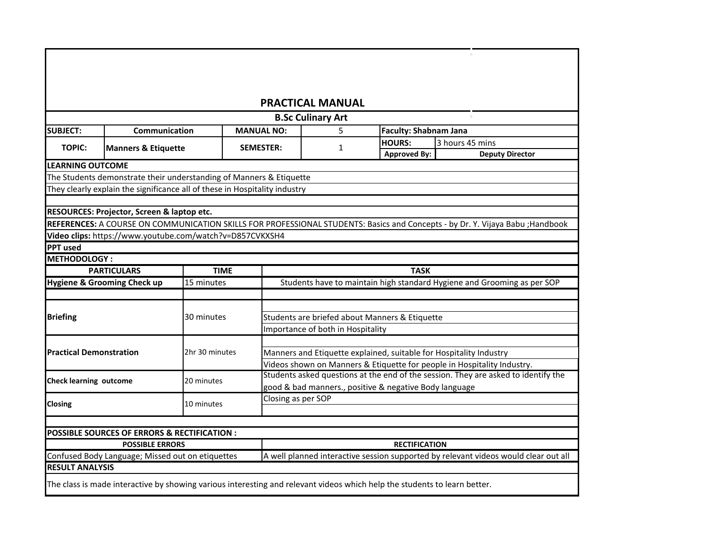|                                |                                                                                                                                |                |                    | <b>PRACTICAL MANUAL</b>                                                             |                              |                 |                        |  |
|--------------------------------|--------------------------------------------------------------------------------------------------------------------------------|----------------|--------------------|-------------------------------------------------------------------------------------|------------------------------|-----------------|------------------------|--|
|                                |                                                                                                                                |                |                    | <b>B.Sc Culinary Art</b>                                                            |                              |                 |                        |  |
| <b>SUBJECT:</b>                | Communication                                                                                                                  |                | <b>MANUAL NO:</b>  | 5                                                                                   | <b>Faculty: Shabnam Jana</b> |                 |                        |  |
| <b>TOPIC:</b>                  | <b>Manners &amp; Etiquette</b>                                                                                                 |                | <b>SEMESTER:</b>   | 1                                                                                   | <b>HOURS:</b>                | 3 hours 45 mins |                        |  |
|                                |                                                                                                                                |                |                    |                                                                                     | <b>Approved By:</b>          |                 | <b>Deputy Director</b> |  |
| <b>LEARNING OUTCOME</b>        |                                                                                                                                |                |                    |                                                                                     |                              |                 |                        |  |
|                                | The Students demonstrate their understanding of Manners & Etiquette                                                            |                |                    |                                                                                     |                              |                 |                        |  |
|                                | They clearly explain the significance all of these in Hospitality industry                                                     |                |                    |                                                                                     |                              |                 |                        |  |
|                                |                                                                                                                                |                |                    |                                                                                     |                              |                 |                        |  |
|                                | RESOURCES: Projector, Screen & laptop etc.                                                                                     |                |                    |                                                                                     |                              |                 |                        |  |
|                                | REFERENCES: A COURSE ON COMMUNICATION SKILLS FOR PROFESSIONAL STUDENTS: Basics and Concepts - by Dr. Y. Vijaya Babu ; Handbook |                |                    |                                                                                     |                              |                 |                        |  |
|                                | Video clips: https://www.youtube.com/watch?v=D857CVKXSH4                                                                       |                |                    |                                                                                     |                              |                 |                        |  |
| <b>PPT</b> used                |                                                                                                                                |                |                    |                                                                                     |                              |                 |                        |  |
| <b>METHODOLOGY:</b>            |                                                                                                                                |                |                    |                                                                                     |                              |                 |                        |  |
|                                | <b>PARTICULARS</b>                                                                                                             | <b>TIME</b>    |                    |                                                                                     | <b>TASK</b>                  |                 |                        |  |
|                                | Hygiene & Grooming Check up                                                                                                    | 15 minutes     |                    | Students have to maintain high standard Hygiene and Grooming as per SOP             |                              |                 |                        |  |
|                                |                                                                                                                                |                |                    |                                                                                     |                              |                 |                        |  |
|                                |                                                                                                                                |                |                    |                                                                                     |                              |                 |                        |  |
| <b>Briefing</b>                |                                                                                                                                | 30 minutes     |                    | Students are briefed about Manners & Etiquette                                      |                              |                 |                        |  |
|                                |                                                                                                                                |                |                    | Importance of both in Hospitality                                                   |                              |                 |                        |  |
|                                |                                                                                                                                |                |                    |                                                                                     |                              |                 |                        |  |
| <b>Practical Demonstration</b> |                                                                                                                                | 2hr 30 minutes |                    | Manners and Etiquette explained, suitable for Hospitality Industry                  |                              |                 |                        |  |
|                                |                                                                                                                                |                |                    | Videos shown on Manners & Etiquette for people in Hospitality Industry.             |                              |                 |                        |  |
| <b>Check learning outcome</b>  |                                                                                                                                | 20 minutes     |                    | Students asked questions at the end of the session. They are asked to identify the  |                              |                 |                        |  |
|                                |                                                                                                                                |                |                    | good & bad manners., positive & negative Body language                              |                              |                 |                        |  |
| <b>Closing</b>                 |                                                                                                                                | 10 minutes     | Closing as per SOP |                                                                                     |                              |                 |                        |  |
|                                |                                                                                                                                |                |                    |                                                                                     |                              |                 |                        |  |
|                                |                                                                                                                                |                |                    |                                                                                     |                              |                 |                        |  |
|                                | POSSIBLE SOURCES OF ERRORS & RECTIFICATION :                                                                                   |                |                    |                                                                                     |                              |                 |                        |  |
|                                | <b>POSSIBLE ERRORS</b>                                                                                                         |                |                    |                                                                                     | <b>RECTIFICATION</b>         |                 |                        |  |
|                                | Confused Body Language; Missed out on etiquettes                                                                               |                |                    | A well planned interactive session supported by relevant videos would clear out all |                              |                 |                        |  |
| <b>RESULT ANALYSIS</b>         |                                                                                                                                |                |                    |                                                                                     |                              |                 |                        |  |
|                                | The class is made interactive by showing various interesting and relevant videos which help the students to learn better.      |                |                    |                                                                                     |                              |                 |                        |  |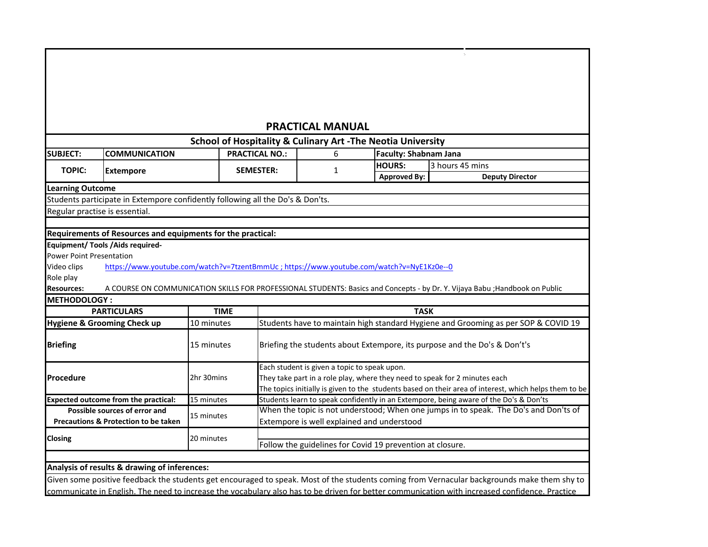# **PRACTICAL MANUAL**

 $\mathcal{L}_{\rm eff}$ 

|                          |                                                                                          |             |                       |                                              | <b>School of Hospitality &amp; Culinary Art -The Neotia University</b> |                                                                                                                                                |
|--------------------------|------------------------------------------------------------------------------------------|-------------|-----------------------|----------------------------------------------|------------------------------------------------------------------------|------------------------------------------------------------------------------------------------------------------------------------------------|
| <b>SUBJECT:</b>          | <b>COMMUNICATION</b>                                                                     |             | <b>PRACTICAL NO.:</b> | 6                                            | <b>Faculty: Shabnam Jana</b>                                           |                                                                                                                                                |
| <b>TOPIC:</b>            | <b>Extempore</b>                                                                         |             | <b>SEMESTER:</b>      | 1                                            | <b>HOURS:</b>                                                          | 3 hours 45 mins                                                                                                                                |
|                          |                                                                                          |             |                       |                                              | <b>Approved By:</b>                                                    | <b>Deputy Director</b>                                                                                                                         |
| <b>Learning Outcome</b>  |                                                                                          |             |                       |                                              |                                                                        |                                                                                                                                                |
|                          | Students participate in Extempore confidently following all the Do's & Don'ts.           |             |                       |                                              |                                                                        |                                                                                                                                                |
|                          | Regular practise is essential.                                                           |             |                       |                                              |                                                                        |                                                                                                                                                |
|                          |                                                                                          |             |                       |                                              |                                                                        |                                                                                                                                                |
|                          | Requirements of Resources and equipments for the practical:                              |             |                       |                                              |                                                                        |                                                                                                                                                |
|                          | <b>Equipment/ Tools / Aids required-</b>                                                 |             |                       |                                              |                                                                        |                                                                                                                                                |
| Power Point Presentation |                                                                                          |             |                       |                                              |                                                                        |                                                                                                                                                |
| Video clips              | https://www.youtube.com/watch?v=7tzentBmmUc; https://www.youtube.com/watch?v=NyE1Kz0e--0 |             |                       |                                              |                                                                        |                                                                                                                                                |
| Role play                |                                                                                          |             |                       |                                              |                                                                        |                                                                                                                                                |
| <b>Resources:</b>        |                                                                                          |             |                       |                                              |                                                                        | A COURSE ON COMMUNICATION SKILLS FOR PROFESSIONAL STUDENTS: Basics and Concepts - by Dr. Y. Vijaya Babu ; Handbook on Public                   |
| <b>METHODOLOGY:</b>      |                                                                                          |             |                       |                                              |                                                                        |                                                                                                                                                |
|                          | <b>PARTICULARS</b>                                                                       | <b>TIME</b> |                       |                                              | <b>TASK</b>                                                            |                                                                                                                                                |
|                          | Hygiene & Grooming Check up                                                              | 10 minutes  |                       |                                              |                                                                        | Students have to maintain high standard Hygiene and Grooming as per SOP & COVID 19                                                             |
| <b>Briefing</b>          |                                                                                          | 15 minutes  |                       |                                              |                                                                        | Briefing the students about Extempore, its purpose and the Do's & Don't's                                                                      |
|                          |                                                                                          |             |                       | Each student is given a topic to speak upon. |                                                                        |                                                                                                                                                |
| Procedure                |                                                                                          | 2hr 30mins  |                       |                                              |                                                                        | They take part in a role play, where they need to speak for 2 minutes each                                                                     |
|                          |                                                                                          |             |                       |                                              |                                                                        | The topics initially is given to the students based on their area of interest, which helps them to be                                          |
|                          | <b>Expected outcome from the practical:</b>                                              | 15 minutes  |                       |                                              |                                                                        | Students learn to speak confidently in an Extempore, being aware of the Do's & Don'ts                                                          |
|                          | Possible sources of error and                                                            | 15 minutes  |                       |                                              |                                                                        | When the topic is not understood; When one jumps in to speak. The Do's and Don'ts of                                                           |
|                          | Precautions & Protection to be taken                                                     |             |                       |                                              | Extempore is well explained and understood                             |                                                                                                                                                |
| Closing                  |                                                                                          | 20 minutes  |                       |                                              |                                                                        |                                                                                                                                                |
|                          |                                                                                          |             |                       |                                              | Follow the guidelines for Covid 19 prevention at closure.              |                                                                                                                                                |
|                          |                                                                                          |             |                       |                                              |                                                                        |                                                                                                                                                |
|                          | Analysis of results & drawing of inferences:                                             |             |                       |                                              |                                                                        |                                                                                                                                                |
|                          |                                                                                          |             |                       |                                              |                                                                        | Given some positive feedback the students get encouraged to speak. Most of the students coming from Vernacular backgrounds make them shy to    |
|                          |                                                                                          |             |                       |                                              |                                                                        | communicate in English. The need to increase the vocabulary also has to be driven for better communication with increased confidence. Practice |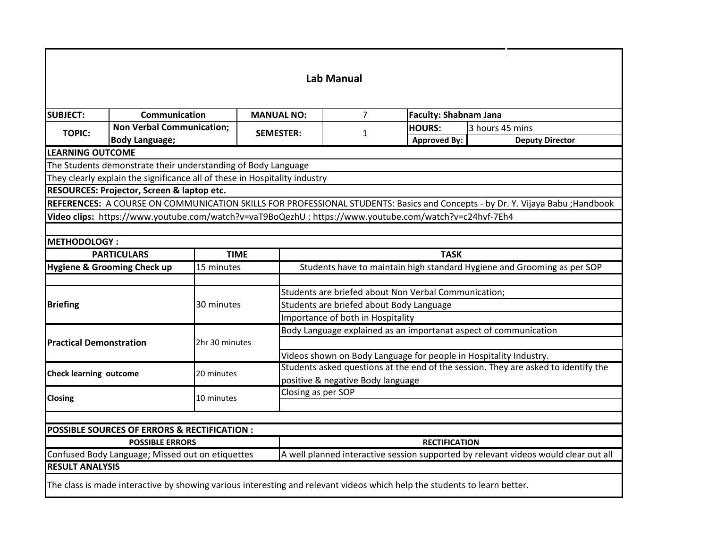|                        |                                                                                                                                                                                                                                                                                                                                                                                                                                                                                                                                                                                                                                                                                                                                                                                                                                                                                                                                                                                                                                                                                                                                                                                                                                                                                                                                                                                                                                                                                                                                                 |  |                                   | <b>Lab Manual</b> |             |                                                                                     |  |
|------------------------|-------------------------------------------------------------------------------------------------------------------------------------------------------------------------------------------------------------------------------------------------------------------------------------------------------------------------------------------------------------------------------------------------------------------------------------------------------------------------------------------------------------------------------------------------------------------------------------------------------------------------------------------------------------------------------------------------------------------------------------------------------------------------------------------------------------------------------------------------------------------------------------------------------------------------------------------------------------------------------------------------------------------------------------------------------------------------------------------------------------------------------------------------------------------------------------------------------------------------------------------------------------------------------------------------------------------------------------------------------------------------------------------------------------------------------------------------------------------------------------------------------------------------------------------------|--|-----------------------------------|-------------------|-------------|-------------------------------------------------------------------------------------|--|
|                        |                                                                                                                                                                                                                                                                                                                                                                                                                                                                                                                                                                                                                                                                                                                                                                                                                                                                                                                                                                                                                                                                                                                                                                                                                                                                                                                                                                                                                                                                                                                                                 |  |                                   |                   |             |                                                                                     |  |
| <b>SUBJECT:</b>        |                                                                                                                                                                                                                                                                                                                                                                                                                                                                                                                                                                                                                                                                                                                                                                                                                                                                                                                                                                                                                                                                                                                                                                                                                                                                                                                                                                                                                                                                                                                                                 |  |                                   | $\overline{7}$    |             |                                                                                     |  |
| <b>TOPIC:</b>          |                                                                                                                                                                                                                                                                                                                                                                                                                                                                                                                                                                                                                                                                                                                                                                                                                                                                                                                                                                                                                                                                                                                                                                                                                                                                                                                                                                                                                                                                                                                                                 |  |                                   | $\mathbf{1}$      |             |                                                                                     |  |
|                        |                                                                                                                                                                                                                                                                                                                                                                                                                                                                                                                                                                                                                                                                                                                                                                                                                                                                                                                                                                                                                                                                                                                                                                                                                                                                                                                                                                                                                                                                                                                                                 |  |                                   |                   |             |                                                                                     |  |
|                        |                                                                                                                                                                                                                                                                                                                                                                                                                                                                                                                                                                                                                                                                                                                                                                                                                                                                                                                                                                                                                                                                                                                                                                                                                                                                                                                                                                                                                                                                                                                                                 |  |                                   |                   |             |                                                                                     |  |
|                        |                                                                                                                                                                                                                                                                                                                                                                                                                                                                                                                                                                                                                                                                                                                                                                                                                                                                                                                                                                                                                                                                                                                                                                                                                                                                                                                                                                                                                                                                                                                                                 |  |                                   |                   |             |                                                                                     |  |
|                        |                                                                                                                                                                                                                                                                                                                                                                                                                                                                                                                                                                                                                                                                                                                                                                                                                                                                                                                                                                                                                                                                                                                                                                                                                                                                                                                                                                                                                                                                                                                                                 |  |                                   |                   |             |                                                                                     |  |
|                        |                                                                                                                                                                                                                                                                                                                                                                                                                                                                                                                                                                                                                                                                                                                                                                                                                                                                                                                                                                                                                                                                                                                                                                                                                                                                                                                                                                                                                                                                                                                                                 |  |                                   |                   |             |                                                                                     |  |
|                        |                                                                                                                                                                                                                                                                                                                                                                                                                                                                                                                                                                                                                                                                                                                                                                                                                                                                                                                                                                                                                                                                                                                                                                                                                                                                                                                                                                                                                                                                                                                                                 |  |                                   |                   |             |                                                                                     |  |
|                        |                                                                                                                                                                                                                                                                                                                                                                                                                                                                                                                                                                                                                                                                                                                                                                                                                                                                                                                                                                                                                                                                                                                                                                                                                                                                                                                                                                                                                                                                                                                                                 |  |                                   |                   |             |                                                                                     |  |
|                        |                                                                                                                                                                                                                                                                                                                                                                                                                                                                                                                                                                                                                                                                                                                                                                                                                                                                                                                                                                                                                                                                                                                                                                                                                                                                                                                                                                                                                                                                                                                                                 |  |                                   |                   |             |                                                                                     |  |
|                        |                                                                                                                                                                                                                                                                                                                                                                                                                                                                                                                                                                                                                                                                                                                                                                                                                                                                                                                                                                                                                                                                                                                                                                                                                                                                                                                                                                                                                                                                                                                                                 |  |                                   |                   | <b>TASK</b> |                                                                                     |  |
|                        |                                                                                                                                                                                                                                                                                                                                                                                                                                                                                                                                                                                                                                                                                                                                                                                                                                                                                                                                                                                                                                                                                                                                                                                                                                                                                                                                                                                                                                                                                                                                                 |  |                                   |                   |             |                                                                                     |  |
|                        |                                                                                                                                                                                                                                                                                                                                                                                                                                                                                                                                                                                                                                                                                                                                                                                                                                                                                                                                                                                                                                                                                                                                                                                                                                                                                                                                                                                                                                                                                                                                                 |  |                                   |                   |             |                                                                                     |  |
|                        |                                                                                                                                                                                                                                                                                                                                                                                                                                                                                                                                                                                                                                                                                                                                                                                                                                                                                                                                                                                                                                                                                                                                                                                                                                                                                                                                                                                                                                                                                                                                                 |  |                                   |                   |             |                                                                                     |  |
| <b>Briefing</b>        |                                                                                                                                                                                                                                                                                                                                                                                                                                                                                                                                                                                                                                                                                                                                                                                                                                                                                                                                                                                                                                                                                                                                                                                                                                                                                                                                                                                                                                                                                                                                                 |  |                                   |                   |             |                                                                                     |  |
|                        |                                                                                                                                                                                                                                                                                                                                                                                                                                                                                                                                                                                                                                                                                                                                                                                                                                                                                                                                                                                                                                                                                                                                                                                                                                                                                                                                                                                                                                                                                                                                                 |  | Importance of both in Hospitality |                   |             |                                                                                     |  |
|                        |                                                                                                                                                                                                                                                                                                                                                                                                                                                                                                                                                                                                                                                                                                                                                                                                                                                                                                                                                                                                                                                                                                                                                                                                                                                                                                                                                                                                                                                                                                                                                 |  |                                   |                   |             |                                                                                     |  |
|                        | <b>Communication</b><br><b>MANUAL NO:</b><br><b>Faculty: Shabnam Jana</b><br><b>Non Verbal Communication;</b><br>3 hours 45 mins<br><b>HOURS:</b><br><b>SEMESTER:</b><br><b>Approved By:</b><br><b>Deputy Director</b><br><b>Body Language;</b><br><b>LEARNING OUTCOME</b><br>The Students demonstrate their understanding of Body Language<br>They clearly explain the significance all of these in Hospitality industry<br>RESOURCES: Projector, Screen & laptop etc.<br>REFERENCES: A COURSE ON COMMUNICATION SKILLS FOR PROFESSIONAL STUDENTS: Basics and Concepts - by Dr. Y. Vijaya Babu ; Handbook<br>Video clips: https://www.youtube.com/watch?v=vaT9BoQezhU; https://www.youtube.com/watch?v=c24hvf-7Eh4<br><b>METHODOLOGY:</b><br><b>PARTICULARS</b><br><b>TIME</b><br>Hygiene & Grooming Check up<br>Students have to maintain high standard Hygiene and Grooming as per SOP<br>15 minutes<br>Students are briefed about Non Verbal Communication;<br>30 minutes<br>Students are briefed about Body Language<br>Body Language explained as an importanat aspect of communication<br><b>Practical Demonstration</b><br>2hr 30 minutes<br>Videos shown on Body Language for people in Hospitality Industry.<br>Students asked questions at the end of the session. They are asked to identify the<br><b>Check learning outcome</b><br>20 minutes<br>positive & negative Body language<br>Closing as per SOP<br>10 minutes<br><b>POSSIBLE SOURCES OF ERRORS &amp; RECTIFICATION:</b><br><b>POSSIBLE ERRORS</b><br><b>RECTIFICATION</b> |  |                                   |                   |             |                                                                                     |  |
|                        |                                                                                                                                                                                                                                                                                                                                                                                                                                                                                                                                                                                                                                                                                                                                                                                                                                                                                                                                                                                                                                                                                                                                                                                                                                                                                                                                                                                                                                                                                                                                                 |  |                                   |                   |             |                                                                                     |  |
|                        |                                                                                                                                                                                                                                                                                                                                                                                                                                                                                                                                                                                                                                                                                                                                                                                                                                                                                                                                                                                                                                                                                                                                                                                                                                                                                                                                                                                                                                                                                                                                                 |  |                                   |                   |             |                                                                                     |  |
|                        |                                                                                                                                                                                                                                                                                                                                                                                                                                                                                                                                                                                                                                                                                                                                                                                                                                                                                                                                                                                                                                                                                                                                                                                                                                                                                                                                                                                                                                                                                                                                                 |  |                                   |                   |             |                                                                                     |  |
| <b>Closing</b>         |                                                                                                                                                                                                                                                                                                                                                                                                                                                                                                                                                                                                                                                                                                                                                                                                                                                                                                                                                                                                                                                                                                                                                                                                                                                                                                                                                                                                                                                                                                                                                 |  |                                   |                   |             |                                                                                     |  |
|                        |                                                                                                                                                                                                                                                                                                                                                                                                                                                                                                                                                                                                                                                                                                                                                                                                                                                                                                                                                                                                                                                                                                                                                                                                                                                                                                                                                                                                                                                                                                                                                 |  |                                   |                   |             |                                                                                     |  |
|                        |                                                                                                                                                                                                                                                                                                                                                                                                                                                                                                                                                                                                                                                                                                                                                                                                                                                                                                                                                                                                                                                                                                                                                                                                                                                                                                                                                                                                                                                                                                                                                 |  |                                   |                   |             |                                                                                     |  |
|                        |                                                                                                                                                                                                                                                                                                                                                                                                                                                                                                                                                                                                                                                                                                                                                                                                                                                                                                                                                                                                                                                                                                                                                                                                                                                                                                                                                                                                                                                                                                                                                 |  |                                   |                   |             |                                                                                     |  |
|                        |                                                                                                                                                                                                                                                                                                                                                                                                                                                                                                                                                                                                                                                                                                                                                                                                                                                                                                                                                                                                                                                                                                                                                                                                                                                                                                                                                                                                                                                                                                                                                 |  |                                   |                   |             |                                                                                     |  |
| <b>RESULT ANALYSIS</b> | Confused Body Language; Missed out on etiquettes                                                                                                                                                                                                                                                                                                                                                                                                                                                                                                                                                                                                                                                                                                                                                                                                                                                                                                                                                                                                                                                                                                                                                                                                                                                                                                                                                                                                                                                                                                |  |                                   |                   |             | A well planned interactive session supported by relevant videos would clear out all |  |
|                        |                                                                                                                                                                                                                                                                                                                                                                                                                                                                                                                                                                                                                                                                                                                                                                                                                                                                                                                                                                                                                                                                                                                                                                                                                                                                                                                                                                                                                                                                                                                                                 |  |                                   |                   |             |                                                                                     |  |
|                        | The class is made interactive by showing various interesting and relevant videos which help the students to learn better.                                                                                                                                                                                                                                                                                                                                                                                                                                                                                                                                                                                                                                                                                                                                                                                                                                                                                                                                                                                                                                                                                                                                                                                                                                                                                                                                                                                                                       |  |                                   |                   |             |                                                                                     |  |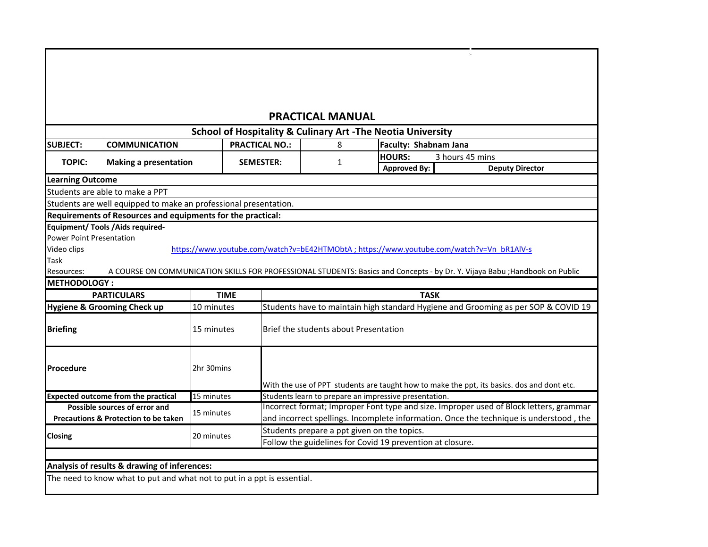|                                 |                                                                                                                              |             |                                       | <b>PRACTICAL MANUAL</b> |   |                                                                                           |                 |                                                                                            |                                                                                        |
|---------------------------------|------------------------------------------------------------------------------------------------------------------------------|-------------|---------------------------------------|-------------------------|---|-------------------------------------------------------------------------------------------|-----------------|--------------------------------------------------------------------------------------------|----------------------------------------------------------------------------------------|
|                                 |                                                                                                                              |             |                                       |                         |   | School of Hospitality & Culinary Art -The Neotia University                               |                 |                                                                                            |                                                                                        |
| <b>SUBJECT:</b>                 | <b>COMMUNICATION</b>                                                                                                         |             | <b>PRACTICAL NO.:</b>                 |                         | 8 | Faculty: Shabnam Jana                                                                     |                 |                                                                                            |                                                                                        |
| <b>TOPIC:</b>                   |                                                                                                                              |             | <b>SEMESTER:</b>                      |                         |   | <b>HOURS:</b>                                                                             | 3 hours 45 mins |                                                                                            |                                                                                        |
|                                 | <b>Making a presentation</b>                                                                                                 |             |                                       |                         | 1 | <b>Approved By:</b>                                                                       |                 | <b>Deputy Director</b>                                                                     |                                                                                        |
| <b>Learning Outcome</b>         |                                                                                                                              |             |                                       |                         |   |                                                                                           |                 |                                                                                            |                                                                                        |
|                                 | Students are able to make a PPT                                                                                              |             |                                       |                         |   |                                                                                           |                 |                                                                                            |                                                                                        |
|                                 | Students are well equipped to make an professional presentation.                                                             |             |                                       |                         |   |                                                                                           |                 |                                                                                            |                                                                                        |
|                                 | Requirements of Resources and equipments for the practical:                                                                  |             |                                       |                         |   |                                                                                           |                 |                                                                                            |                                                                                        |
|                                 | <b>Equipment/ Tools / Aids required-</b>                                                                                     |             |                                       |                         |   |                                                                                           |                 |                                                                                            |                                                                                        |
| <b>Power Point Presentation</b> |                                                                                                                              |             |                                       |                         |   |                                                                                           |                 |                                                                                            |                                                                                        |
| Video clips                     |                                                                                                                              |             |                                       |                         |   | https://www.youtube.com/watch?v=bE42HTMObtA ; https://www.youtube.com/watch?v=Vn_bR1AlV-s |                 |                                                                                            |                                                                                        |
| Task                            |                                                                                                                              |             |                                       |                         |   |                                                                                           |                 |                                                                                            |                                                                                        |
| Resources:                      | A COURSE ON COMMUNICATION SKILLS FOR PROFESSIONAL STUDENTS: Basics and Concepts - by Dr. Y. Vijaya Babu ; Handbook on Public |             |                                       |                         |   |                                                                                           |                 |                                                                                            |                                                                                        |
| <b>METHODOLOGY:</b>             |                                                                                                                              |             |                                       |                         |   |                                                                                           |                 |                                                                                            |                                                                                        |
|                                 | <b>PARTICULARS</b>                                                                                                           | <b>TIME</b> |                                       |                         |   | <b>TASK</b>                                                                               |                 |                                                                                            |                                                                                        |
|                                 | <b>Hygiene &amp; Grooming Check up</b>                                                                                       | 10 minutes  |                                       |                         |   |                                                                                           |                 |                                                                                            | Students have to maintain high standard Hygiene and Grooming as per SOP & COVID 19     |
| <b>Briefing</b>                 |                                                                                                                              | 15 minutes  | Brief the students about Presentation |                         |   |                                                                                           |                 |                                                                                            |                                                                                        |
| Procedure                       |                                                                                                                              | 2hr 30mins  |                                       |                         |   |                                                                                           |                 |                                                                                            |                                                                                        |
|                                 |                                                                                                                              |             |                                       |                         |   |                                                                                           |                 | With the use of PPT students are taught how to make the ppt, its basics. dos and dont etc. |                                                                                        |
|                                 | <b>Expected outcome from the practical</b>                                                                                   | 15 minutes  |                                       |                         |   | Students learn to prepare an impressive presentation.                                     |                 |                                                                                            |                                                                                        |
|                                 | Possible sources of error and                                                                                                | 15 minutes  |                                       |                         |   |                                                                                           |                 |                                                                                            | Incorrect format; Improper Font type and size. Improper used of Block letters, grammar |
|                                 | <b>Precautions &amp; Protection to be taken</b>                                                                              |             |                                       |                         |   |                                                                                           |                 |                                                                                            | and incorrect spellings. Incomplete information. Once the technique is understood, the |
| <b>Closing</b>                  |                                                                                                                              | 20 minutes  |                                       |                         |   | Students prepare a ppt given on the topics.                                               |                 |                                                                                            |                                                                                        |
|                                 |                                                                                                                              |             |                                       |                         |   | Follow the guidelines for Covid 19 prevention at closure.                                 |                 |                                                                                            |                                                                                        |
|                                 |                                                                                                                              |             |                                       |                         |   |                                                                                           |                 |                                                                                            |                                                                                        |
|                                 | Analysis of results & drawing of inferences:                                                                                 |             |                                       |                         |   |                                                                                           |                 |                                                                                            |                                                                                        |
|                                 | The need to know what to put and what not to put in a ppt is essential.                                                      |             |                                       |                         |   |                                                                                           |                 |                                                                                            |                                                                                        |

 $\mathcal{A}_\mathcal{A}$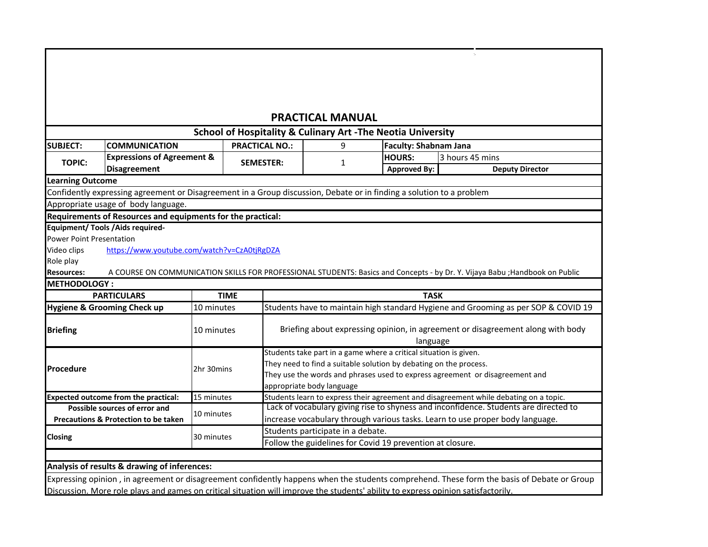# **PRACTICAL MANUAL**

 $\tau_{\rm c}$ 

| <b>SUBJECT:</b>                 | <b>COMMUNICATION</b>                                        |             |                                                                                                                                                                                                                                                                                                                                                                                                                                                                                                                                                                                                                                                                                                                                                                                                                                                                                                                                                                                                                                                                                                                                               | 9                                                         |                     |                        |
|---------------------------------|-------------------------------------------------------------|-------------|-----------------------------------------------------------------------------------------------------------------------------------------------------------------------------------------------------------------------------------------------------------------------------------------------------------------------------------------------------------------------------------------------------------------------------------------------------------------------------------------------------------------------------------------------------------------------------------------------------------------------------------------------------------------------------------------------------------------------------------------------------------------------------------------------------------------------------------------------------------------------------------------------------------------------------------------------------------------------------------------------------------------------------------------------------------------------------------------------------------------------------------------------|-----------------------------------------------------------|---------------------|------------------------|
| <b>TOPIC:</b>                   | <b>Expressions of Agreement &amp;</b>                       |             |                                                                                                                                                                                                                                                                                                                                                                                                                                                                                                                                                                                                                                                                                                                                                                                                                                                                                                                                                                                                                                                                                                                                               |                                                           | <b>HOURS:</b>       | 3 hours 45 mins        |
|                                 | <b>Disagreement</b>                                         |             |                                                                                                                                                                                                                                                                                                                                                                                                                                                                                                                                                                                                                                                                                                                                                                                                                                                                                                                                                                                                                                                                                                                                               |                                                           | <b>Approved By:</b> | <b>Deputy Director</b> |
| <b>Learning Outcome</b>         |                                                             |             |                                                                                                                                                                                                                                                                                                                                                                                                                                                                                                                                                                                                                                                                                                                                                                                                                                                                                                                                                                                                                                                                                                                                               |                                                           |                     |                        |
|                                 |                                                             |             |                                                                                                                                                                                                                                                                                                                                                                                                                                                                                                                                                                                                                                                                                                                                                                                                                                                                                                                                                                                                                                                                                                                                               |                                                           |                     |                        |
|                                 | Appropriate usage of body language.                         |             |                                                                                                                                                                                                                                                                                                                                                                                                                                                                                                                                                                                                                                                                                                                                                                                                                                                                                                                                                                                                                                                                                                                                               |                                                           |                     |                        |
|                                 | Requirements of Resources and equipments for the practical: |             |                                                                                                                                                                                                                                                                                                                                                                                                                                                                                                                                                                                                                                                                                                                                                                                                                                                                                                                                                                                                                                                                                                                                               |                                                           |                     |                        |
|                                 | Equipment/ Tools / Aids required-                           |             |                                                                                                                                                                                                                                                                                                                                                                                                                                                                                                                                                                                                                                                                                                                                                                                                                                                                                                                                                                                                                                                                                                                                               |                                                           |                     |                        |
| <b>Power Point Presentation</b> |                                                             |             |                                                                                                                                                                                                                                                                                                                                                                                                                                                                                                                                                                                                                                                                                                                                                                                                                                                                                                                                                                                                                                                                                                                                               |                                                           |                     |                        |
| Video clips                     | https://www.youtube.com/watch?v=CzA0tjRgDZA                 |             |                                                                                                                                                                                                                                                                                                                                                                                                                                                                                                                                                                                                                                                                                                                                                                                                                                                                                                                                                                                                                                                                                                                                               |                                                           |                     |                        |
| Role play                       |                                                             |             |                                                                                                                                                                                                                                                                                                                                                                                                                                                                                                                                                                                                                                                                                                                                                                                                                                                                                                                                                                                                                                                                                                                                               |                                                           |                     |                        |
| <b>Resources:</b>               |                                                             |             |                                                                                                                                                                                                                                                                                                                                                                                                                                                                                                                                                                                                                                                                                                                                                                                                                                                                                                                                                                                                                                                                                                                                               |                                                           |                     |                        |
| <b>METHODOLOGY:</b>             |                                                             |             |                                                                                                                                                                                                                                                                                                                                                                                                                                                                                                                                                                                                                                                                                                                                                                                                                                                                                                                                                                                                                                                                                                                                               |                                                           |                     |                        |
|                                 | <b>PARTICULARS</b>                                          | <b>TIME</b> |                                                                                                                                                                                                                                                                                                                                                                                                                                                                                                                                                                                                                                                                                                                                                                                                                                                                                                                                                                                                                                                                                                                                               |                                                           |                     |                        |
|                                 | <b>Hygiene &amp; Grooming Check up</b>                      | 10 minutes  |                                                                                                                                                                                                                                                                                                                                                                                                                                                                                                                                                                                                                                                                                                                                                                                                                                                                                                                                                                                                                                                                                                                                               |                                                           |                     |                        |
|                                 |                                                             |             |                                                                                                                                                                                                                                                                                                                                                                                                                                                                                                                                                                                                                                                                                                                                                                                                                                                                                                                                                                                                                                                                                                                                               |                                                           |                     |                        |
| <b>Briefing</b>                 |                                                             | 10 minutes  |                                                                                                                                                                                                                                                                                                                                                                                                                                                                                                                                                                                                                                                                                                                                                                                                                                                                                                                                                                                                                                                                                                                                               |                                                           |                     |                        |
|                                 |                                                             |             |                                                                                                                                                                                                                                                                                                                                                                                                                                                                                                                                                                                                                                                                                                                                                                                                                                                                                                                                                                                                                                                                                                                                               |                                                           |                     |                        |
|                                 |                                                             |             |                                                                                                                                                                                                                                                                                                                                                                                                                                                                                                                                                                                                                                                                                                                                                                                                                                                                                                                                                                                                                                                                                                                                               |                                                           |                     |                        |
| <b>Procedure</b>                |                                                             | 2hr 30mins  |                                                                                                                                                                                                                                                                                                                                                                                                                                                                                                                                                                                                                                                                                                                                                                                                                                                                                                                                                                                                                                                                                                                                               |                                                           |                     |                        |
|                                 |                                                             |             |                                                                                                                                                                                                                                                                                                                                                                                                                                                                                                                                                                                                                                                                                                                                                                                                                                                                                                                                                                                                                                                                                                                                               |                                                           |                     |                        |
|                                 | <b>Expected outcome from the practical:</b>                 | 15 minutes  |                                                                                                                                                                                                                                                                                                                                                                                                                                                                                                                                                                                                                                                                                                                                                                                                                                                                                                                                                                                                                                                                                                                                               |                                                           |                     |                        |
|                                 |                                                             |             |                                                                                                                                                                                                                                                                                                                                                                                                                                                                                                                                                                                                                                                                                                                                                                                                                                                                                                                                                                                                                                                                                                                                               |                                                           |                     |                        |
|                                 | Possible sources of error and                               |             | <b>School of Hospitality &amp; Culinary Art -The Neotia University</b><br><b>PRACTICAL NO.:</b><br><b>Faculty: Shabnam Jana</b><br><b>SEMESTER:</b><br>1<br>Confidently expressing agreement or Disagreement in a Group discussion, Debate or in finding a solution to a problem<br>A COURSE ON COMMUNICATION SKILLS FOR PROFESSIONAL STUDENTS: Basics and Concepts - by Dr. Y. Vijaya Babu ; Handbook on Public<br><b>TASK</b><br>Students have to maintain high standard Hygiene and Grooming as per SOP & COVID 19<br>Briefing about expressing opinion, in agreement or disagreement along with body<br>language<br>Students take part in a game where a critical situation is given.<br>They need to find a suitable solution by debating on the process.<br>They use the words and phrases used to express agreement or disagreement and<br>appropriate body language<br>Students learn to express their agreement and disagreement while debating on a topic.<br>Lack of vocabulary giving rise to shyness and inconfidence. Students are directed to<br>increase vocabulary through various tasks. Learn to use proper body language. |                                                           |                     |                        |
|                                 | <b>Precautions &amp; Protection to be taken</b>             | 10 minutes  |                                                                                                                                                                                                                                                                                                                                                                                                                                                                                                                                                                                                                                                                                                                                                                                                                                                                                                                                                                                                                                                                                                                                               |                                                           |                     |                        |
|                                 |                                                             |             |                                                                                                                                                                                                                                                                                                                                                                                                                                                                                                                                                                                                                                                                                                                                                                                                                                                                                                                                                                                                                                                                                                                                               | Students participate in a debate.                         |                     |                        |
| <b>Closing</b>                  |                                                             | 30 minutes  |                                                                                                                                                                                                                                                                                                                                                                                                                                                                                                                                                                                                                                                                                                                                                                                                                                                                                                                                                                                                                                                                                                                                               | Follow the guidelines for Covid 19 prevention at closure. |                     |                        |

**Analysis of results & drawing of inferences:**

Expressing opinion , in agreement or disagreement confidently happens when the students comprehend. These form the basis of Debate or Group Discussion. More role plays and games on critical situation will improve the students' ability to express opinion satisfactorily.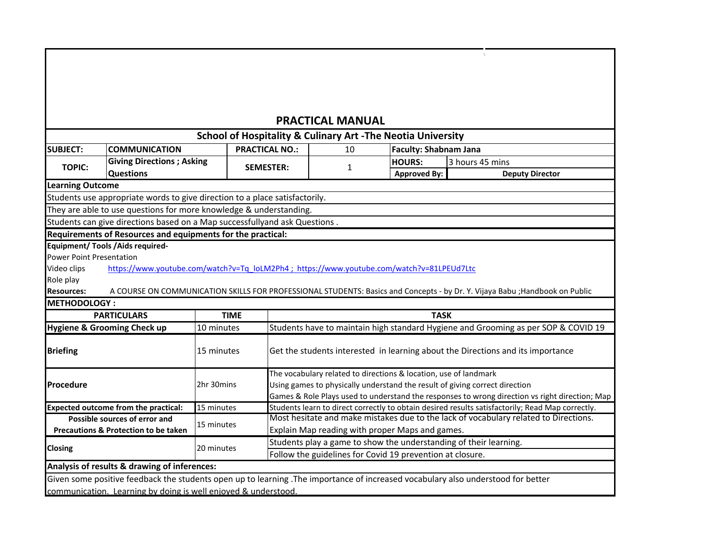|                                                       |                                                                             |             | <b>School of Hospitality &amp; Culinary Art -The Neotia University</b>                   |    |                                                                             |                 |                                                                                                                              |  |
|-------------------------------------------------------|-----------------------------------------------------------------------------|-------------|------------------------------------------------------------------------------------------|----|-----------------------------------------------------------------------------|-----------------|------------------------------------------------------------------------------------------------------------------------------|--|
| <b>SUBJECT:</b>                                       | <b>COMMUNICATION</b>                                                        |             | <b>PRACTICAL NO.:</b>                                                                    | 10 | <b>Faculty: Shabnam Jana</b>                                                |                 |                                                                                                                              |  |
| <b>TOPIC:</b>                                         | <b>Giving Directions; Asking</b><br><b>Questions</b>                        |             | <b>SEMESTER:</b>                                                                         | 1  | <b>HOURS:</b><br><b>Approved By:</b>                                        | 3 hours 45 mins | <b>Deputy Director</b>                                                                                                       |  |
| <b>Learning Outcome</b>                               |                                                                             |             |                                                                                          |    |                                                                             |                 |                                                                                                                              |  |
|                                                       | Students use appropriate words to give direction to a place satisfactorily. |             |                                                                                          |    |                                                                             |                 |                                                                                                                              |  |
|                                                       | They are able to use questions for more knowledge & understanding.          |             |                                                                                          |    |                                                                             |                 |                                                                                                                              |  |
|                                                       | Students can give directions based on a Map successfullyand ask Questions.  |             |                                                                                          |    |                                                                             |                 |                                                                                                                              |  |
|                                                       | Requirements of Resources and equipments for the practical:                 |             |                                                                                          |    |                                                                             |                 |                                                                                                                              |  |
|                                                       | <b>Equipment/ Tools / Aids required-</b>                                    |             |                                                                                          |    |                                                                             |                 |                                                                                                                              |  |
| <b>Power Point Presentation</b>                       |                                                                             |             |                                                                                          |    |                                                                             |                 |                                                                                                                              |  |
| Video clips                                           |                                                                             |             | https://www.youtube.com/watch?v=Tq_loLM2Ph4; https://www.youtube.com/watch?v=81LPEUd7Ltc |    |                                                                             |                 |                                                                                                                              |  |
|                                                       |                                                                             |             |                                                                                          |    |                                                                             |                 |                                                                                                                              |  |
|                                                       |                                                                             |             |                                                                                          |    |                                                                             |                 |                                                                                                                              |  |
|                                                       |                                                                             |             |                                                                                          |    |                                                                             |                 | A COURSE ON COMMUNICATION SKILLS FOR PROFESSIONAL STUDENTS: Basics and Concepts - by Dr. Y. Vijaya Babu ; Handbook on Public |  |
|                                                       |                                                                             |             |                                                                                          |    |                                                                             |                 |                                                                                                                              |  |
|                                                       | <b>PARTICULARS</b>                                                          | <b>TIME</b> |                                                                                          |    |                                                                             | <b>TASK</b>     |                                                                                                                              |  |
| Role play<br><b>Resources:</b><br><b>METHODOLOGY:</b> | Hygiene & Grooming Check up                                                 | 10 minutes  |                                                                                          |    |                                                                             |                 | Students have to maintain high standard Hygiene and Grooming as per SOP & COVID 19                                           |  |
|                                                       |                                                                             | 15 minutes  |                                                                                          |    |                                                                             |                 | Get the students interested in learning about the Directions and its importance                                              |  |
|                                                       |                                                                             |             |                                                                                          |    | The vocabulary related to directions & location, use of landmark            |                 |                                                                                                                              |  |
|                                                       |                                                                             | 2hr 30mins  |                                                                                          |    | Using games to physically understand the result of giving correct direction |                 |                                                                                                                              |  |
|                                                       |                                                                             |             |                                                                                          |    |                                                                             |                 | Games & Role Plays used to understand the responses to wrong direction vs right direction; Map                               |  |
|                                                       | <b>Expected outcome from the practical:</b>                                 | 15 minutes  |                                                                                          |    |                                                                             |                 | Students learn to direct correctly to obtain desired results satisfactorily; Read Map correctly.                             |  |
|                                                       | Possible sources of error and                                               |             |                                                                                          |    |                                                                             |                 | Most hesitate and make mistakes due to the lack of vocabulary related to Directions.                                         |  |
|                                                       | <b>Precautions &amp; Protection to be taken</b>                             | 15 minutes  |                                                                                          |    | Explain Map reading with proper Maps and games.                             |                 |                                                                                                                              |  |
|                                                       |                                                                             |             |                                                                                          |    | Students play a game to show the understanding of their learning.           |                 |                                                                                                                              |  |
| <b>Briefing</b><br>Procedure<br><b>Closing</b>        |                                                                             | 20 minutes  |                                                                                          |    | Follow the guidelines for Covid 19 prevention at closure.                   |                 |                                                                                                                              |  |

 $\gamma_{\rm s}$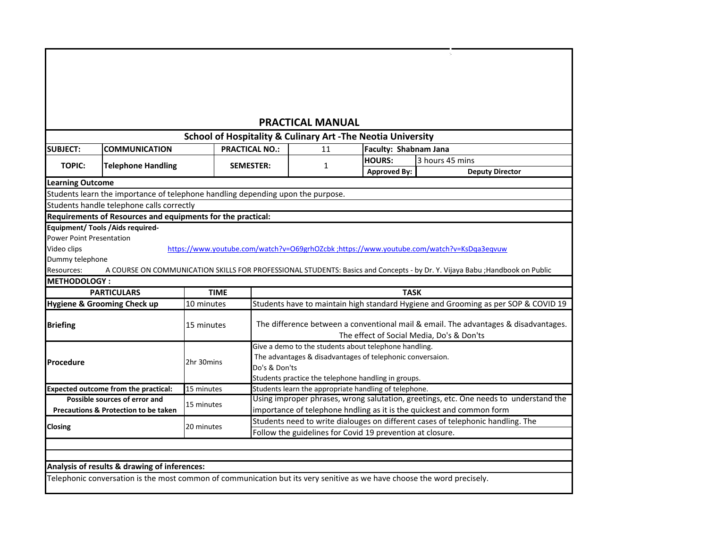| <b>PRACTICAL MANUAL</b>                                                |                                                                                 |             |                       |                                                                                     |                                                                                                                              |  |  |  |  |  |  |
|------------------------------------------------------------------------|---------------------------------------------------------------------------------|-------------|-----------------------|-------------------------------------------------------------------------------------|------------------------------------------------------------------------------------------------------------------------------|--|--|--|--|--|--|
| <b>School of Hospitality &amp; Culinary Art -The Neotia University</b> |                                                                                 |             |                       |                                                                                     |                                                                                                                              |  |  |  |  |  |  |
| <b>SUBJECT:</b>                                                        | <b>COMMUNICATION</b>                                                            |             | <b>PRACTICAL NO.:</b> | 11                                                                                  | Faculty: Shabnam Jana                                                                                                        |  |  |  |  |  |  |
| <b>TOPIC:</b>                                                          | <b>Telephone Handling</b>                                                       |             | <b>SEMESTER:</b>      | $\mathbf{1}$                                                                        | 3 hours 45 mins<br><b>HOURS:</b>                                                                                             |  |  |  |  |  |  |
|                                                                        |                                                                                 |             |                       |                                                                                     | <b>Approved By:</b><br><b>Deputy Director</b>                                                                                |  |  |  |  |  |  |
| <b>Learning Outcome</b>                                                |                                                                                 |             |                       |                                                                                     |                                                                                                                              |  |  |  |  |  |  |
|                                                                        | Students learn the importance of telephone handling depending upon the purpose. |             |                       |                                                                                     |                                                                                                                              |  |  |  |  |  |  |
|                                                                        | Students handle telephone calls correctly                                       |             |                       |                                                                                     |                                                                                                                              |  |  |  |  |  |  |
|                                                                        | Requirements of Resources and equipments for the practical:                     |             |                       |                                                                                     |                                                                                                                              |  |  |  |  |  |  |
|                                                                        | Equipment/ Tools / Aids required-                                               |             |                       |                                                                                     |                                                                                                                              |  |  |  |  |  |  |
| <b>Power Point Presentation</b>                                        |                                                                                 |             |                       |                                                                                     |                                                                                                                              |  |  |  |  |  |  |
| Video clips                                                            |                                                                                 |             |                       |                                                                                     | https://www.youtube.com/watch?v=O69grhOZcbk ;https://www.youtube.com/watch?v=KsDqa3eqvuw                                     |  |  |  |  |  |  |
| Dummy telephone                                                        |                                                                                 |             |                       |                                                                                     |                                                                                                                              |  |  |  |  |  |  |
| Resources:                                                             |                                                                                 |             |                       |                                                                                     | A COURSE ON COMMUNICATION SKILLS FOR PROFESSIONAL STUDENTS: Basics and Concepts - by Dr. Y. Vijaya Babu ; Handbook on Public |  |  |  |  |  |  |
| <b>METHODOLOGY:</b>                                                    | <b>PARTICULARS</b>                                                              | <b>TIME</b> |                       |                                                                                     | <b>TASK</b>                                                                                                                  |  |  |  |  |  |  |
|                                                                        | Hygiene & Grooming Check up                                                     | 10 minutes  |                       |                                                                                     | Students have to maintain high standard Hygiene and Grooming as per SOP & COVID 19                                           |  |  |  |  |  |  |
|                                                                        |                                                                                 |             |                       |                                                                                     |                                                                                                                              |  |  |  |  |  |  |
| <b>Briefing</b>                                                        |                                                                                 | 15 minutes  |                       | The difference between a conventional mail & email. The advantages & disadvantages. |                                                                                                                              |  |  |  |  |  |  |
|                                                                        |                                                                                 |             |                       | The effect of Social Media, Do's & Don'ts                                           |                                                                                                                              |  |  |  |  |  |  |
|                                                                        |                                                                                 |             |                       |                                                                                     | Give a demo to the students about telephone handling.                                                                        |  |  |  |  |  |  |
|                                                                        |                                                                                 |             |                       |                                                                                     | The advantages & disadvantages of telephonic conversaion.                                                                    |  |  |  |  |  |  |
| Procedure                                                              |                                                                                 | 2hr 30mins  |                       | Do's & Don'ts                                                                       |                                                                                                                              |  |  |  |  |  |  |
|                                                                        |                                                                                 |             |                       |                                                                                     | Students practice the telephone handling in groups.                                                                          |  |  |  |  |  |  |
|                                                                        | <b>Expected outcome from the practical:</b>                                     | 15 minutes  |                       |                                                                                     | Students learn the appropriate handling of telephone.                                                                        |  |  |  |  |  |  |
|                                                                        | Possible sources of error and                                                   | 15 minutes  |                       |                                                                                     | Using improper phrases, wrong salutation, greetings, etc. One needs to understand the                                        |  |  |  |  |  |  |
|                                                                        |                                                                                 |             |                       |                                                                                     | importance of telephone hndling as it is the quickest and common form                                                        |  |  |  |  |  |  |
|                                                                        | Precautions & Protection to be taken                                            |             |                       |                                                                                     |                                                                                                                              |  |  |  |  |  |  |
|                                                                        |                                                                                 |             |                       |                                                                                     | Students need to write dialouges on different cases of telephonic handling. The                                              |  |  |  |  |  |  |
| Closing                                                                |                                                                                 | 20 minutes  |                       |                                                                                     | Follow the guidelines for Covid 19 prevention at closure.                                                                    |  |  |  |  |  |  |
|                                                                        |                                                                                 |             |                       |                                                                                     |                                                                                                                              |  |  |  |  |  |  |
|                                                                        |                                                                                 |             |                       |                                                                                     |                                                                                                                              |  |  |  |  |  |  |
|                                                                        | Analysis of results & drawing of inferences:                                    |             |                       |                                                                                     |                                                                                                                              |  |  |  |  |  |  |

٦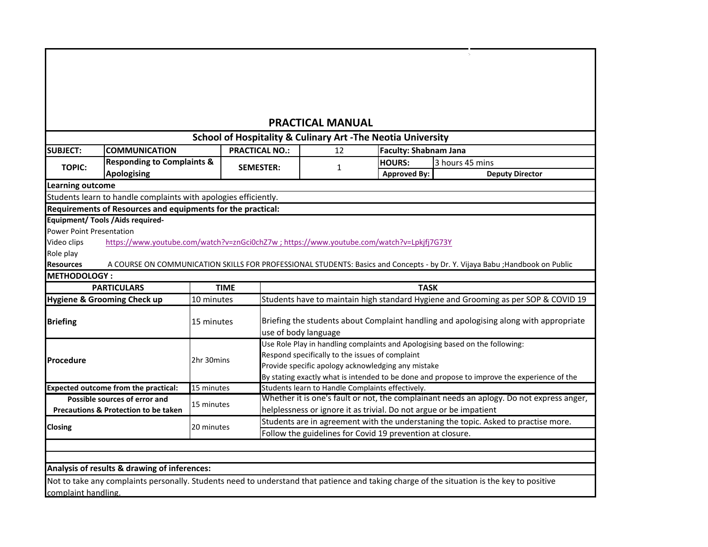|                                                                                                                            |                                                                                         |             |                       | <b>School of Hospitality &amp; Culinary Art -The Neotia University</b>                                                                                                                                                                                                               | <b>PRACTICAL MANUAL</b>              |                              |                 |                        |                                                                                          |
|----------------------------------------------------------------------------------------------------------------------------|-----------------------------------------------------------------------------------------|-------------|-----------------------|--------------------------------------------------------------------------------------------------------------------------------------------------------------------------------------------------------------------------------------------------------------------------------------|--------------------------------------|------------------------------|-----------------|------------------------|------------------------------------------------------------------------------------------|
| <b>SUBJECT:</b>                                                                                                            | <b>COMMUNICATION</b><br><b>Responding to Complaints &amp;</b><br>Apologising            |             | <b>PRACTICAL NO.:</b> | 12                                                                                                                                                                                                                                                                                   |                                      | <b>Faculty: Shabnam Jana</b> |                 |                        |                                                                                          |
| <b>TOPIC:</b>                                                                                                              |                                                                                         |             | <b>SEMESTER:</b>      | 1                                                                                                                                                                                                                                                                                    | <b>HOURS:</b><br><b>Approved By:</b> |                              | 3 hours 45 mins | <b>Deputy Director</b> |                                                                                          |
| <b>Learning outcome</b>                                                                                                    |                                                                                         |             |                       |                                                                                                                                                                                                                                                                                      |                                      |                              |                 |                        |                                                                                          |
| Students learn to handle complaints with apologies efficiently.                                                            |                                                                                         |             |                       |                                                                                                                                                                                                                                                                                      |                                      |                              |                 |                        |                                                                                          |
| Requirements of Resources and equipments for the practical:                                                                |                                                                                         |             |                       |                                                                                                                                                                                                                                                                                      |                                      |                              |                 |                        |                                                                                          |
| <b>Power Point Presentation</b><br>Video clips                                                                             | https://www.youtube.com/watch?v=znGci0chZ7w;https://www.youtube.com/watch?v=Lpkjfj7G73Y |             |                       |                                                                                                                                                                                                                                                                                      |                                      |                              |                 |                        |                                                                                          |
|                                                                                                                            |                                                                                         |             |                       | A COURSE ON COMMUNICATION SKILLS FOR PROFESSIONAL STUDENTS: Basics and Concepts - by Dr. Y. Vijaya Babu ; Handbook on Public                                                                                                                                                         |                                      |                              |                 |                        |                                                                                          |
| <b>PARTICULARS</b>                                                                                                         |                                                                                         | <b>TIME</b> |                       |                                                                                                                                                                                                                                                                                      |                                      | <b>TASK</b>                  |                 |                        |                                                                                          |
|                                                                                                                            |                                                                                         | 10 minutes  |                       |                                                                                                                                                                                                                                                                                      |                                      |                              |                 |                        | Students have to maintain high standard Hygiene and Grooming as per SOP & COVID 19       |
| Role play<br><b>Resources</b><br><b>METHODOLOGY:</b><br>Hygiene & Grooming Check up<br><b>Briefing</b>                     |                                                                                         | 15 minutes  |                       | use of body language                                                                                                                                                                                                                                                                 |                                      |                              |                 |                        | Briefing the students about Complaint handling and apologising along with appropriate    |
|                                                                                                                            |                                                                                         | 2hr 30mins  |                       | Use Role Play in handling complaints and Apologising based on the following:<br>Respond specifically to the issues of complaint<br>Provide specific apology acknowledging any mistake<br>By stating exactly what is intended to be done and propose to improve the experience of the |                                      |                              |                 |                        |                                                                                          |
|                                                                                                                            |                                                                                         | 15 minutes  |                       | Students learn to Handle Complaints effectively.                                                                                                                                                                                                                                     |                                      |                              |                 |                        |                                                                                          |
| Procedure<br>Expected outcome from the practical:<br>Possible sources of error and<br>Precautions & Protection to be taken |                                                                                         | 15 minutes  |                       | helplessness or ignore it as trivial. Do not argue or be impatient                                                                                                                                                                                                                   |                                      |                              |                 |                        | Whether it is one's fault or not, the complainant needs an aplogy. Do not express anger, |

 $\gamma_{\rm c}$ 

Not to take any complaints personally. Students need to understand that patience and taking charge of the situation is the key to positive complaint handling.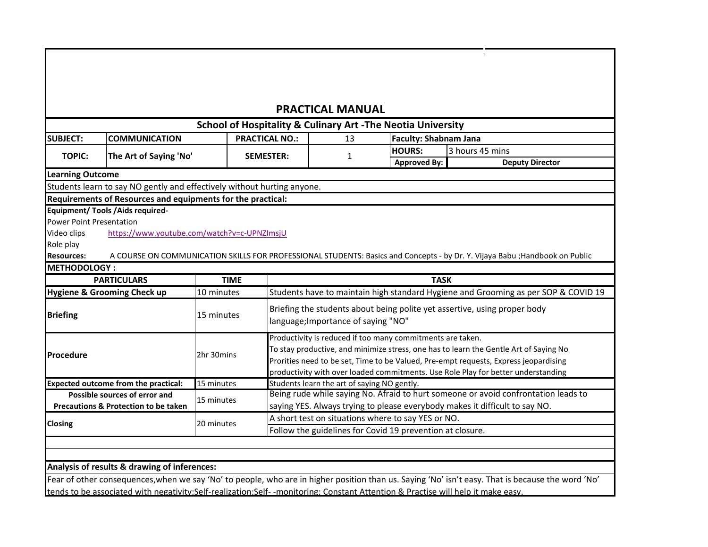|                                                                              |             |                                                                                                                                                                               | <b>PRACTICAL MANUAL</b>                     |                                                                         |                                                                                                                              |  |
|------------------------------------------------------------------------------|-------------|-------------------------------------------------------------------------------------------------------------------------------------------------------------------------------|---------------------------------------------|-------------------------------------------------------------------------|------------------------------------------------------------------------------------------------------------------------------|--|
|                                                                              |             |                                                                                                                                                                               |                                             | <b>School of Hospitality &amp; Culinary Art - The Neotia University</b> |                                                                                                                              |  |
| <b>SUBJECT:</b><br><b>COMMUNICATION</b>                                      |             | <b>PRACTICAL NO.:</b>                                                                                                                                                         | 13<br>$\mathbf{1}$                          | <b>Faculty: Shabnam Jana</b>                                            |                                                                                                                              |  |
| <b>TOPIC:</b><br>The Art of Saying 'No'                                      |             | <b>SEMESTER:</b>                                                                                                                                                              |                                             | <b>HOURS:</b>                                                           | 3 hours 45 mins                                                                                                              |  |
|                                                                              |             |                                                                                                                                                                               |                                             | <b>Approved By:</b>                                                     | <b>Deputy Director</b>                                                                                                       |  |
| <b>Learning Outcome</b>                                                      |             |                                                                                                                                                                               |                                             |                                                                         |                                                                                                                              |  |
| Students learn to say NO gently and effectively without hurting anyone.      |             |                                                                                                                                                                               |                                             |                                                                         |                                                                                                                              |  |
| Requirements of Resources and equipments for the practical:                  |             |                                                                                                                                                                               |                                             |                                                                         |                                                                                                                              |  |
| Equipment/ Tools / Aids required-                                            |             |                                                                                                                                                                               |                                             |                                                                         |                                                                                                                              |  |
| <b>Power Point Presentation</b>                                              |             |                                                                                                                                                                               |                                             |                                                                         |                                                                                                                              |  |
| https://www.youtube.com/watch?v=c-UPNZImsjU<br>Video clips                   |             |                                                                                                                                                                               |                                             |                                                                         |                                                                                                                              |  |
| Role play                                                                    |             |                                                                                                                                                                               |                                             |                                                                         |                                                                                                                              |  |
| <b>Resources:</b>                                                            |             |                                                                                                                                                                               |                                             |                                                                         | A COURSE ON COMMUNICATION SKILLS FOR PROFESSIONAL STUDENTS: Basics and Concepts - by Dr. Y. Vijaya Babu ; Handbook on Public |  |
| <b>METHODOLOGY:</b>                                                          |             |                                                                                                                                                                               |                                             |                                                                         |                                                                                                                              |  |
| <b>PARTICULARS</b>                                                           | <b>TIME</b> |                                                                                                                                                                               |                                             | <b>TASK</b>                                                             |                                                                                                                              |  |
| <b>Hygiene &amp; Grooming Check up</b>                                       | 10 minutes  |                                                                                                                                                                               |                                             |                                                                         | Students have to maintain high standard Hygiene and Grooming as per SOP & COVID 19                                           |  |
|                                                                              |             | Briefing the students about being polite yet assertive, using proper body                                                                                                     |                                             |                                                                         |                                                                                                                              |  |
| <b>Briefing</b>                                                              | 15 minutes  | language; Importance of saying "NO"                                                                                                                                           |                                             |                                                                         |                                                                                                                              |  |
|                                                                              |             |                                                                                                                                                                               |                                             |                                                                         |                                                                                                                              |  |
|                                                                              |             |                                                                                                                                                                               |                                             | Productivity is reduced if too many commitments are taken.              |                                                                                                                              |  |
| Procedure                                                                    | 2hr 30mins  | To stay productive, and minimize stress, one has to learn the Gentle Art of Saying No<br>Prorities need to be set, Time to be Valued, Pre-empt requests, Express jeopardising |                                             |                                                                         |                                                                                                                              |  |
|                                                                              |             |                                                                                                                                                                               |                                             |                                                                         |                                                                                                                              |  |
|                                                                              |             |                                                                                                                                                                               |                                             |                                                                         | productivity with over loaded commitments. Use Role Play for better understanding                                            |  |
| <b>Expected outcome from the practical:</b><br>Possible sources of error and | 15 minutes  |                                                                                                                                                                               | Students learn the art of saying NO gently. |                                                                         | Being rude while saying No. Afraid to hurt someone or avoid confrontation leads to                                           |  |
| Precautions & Protection to be taken                                         | 15 minutes  |                                                                                                                                                                               |                                             |                                                                         | saying YES. Always trying to please everybody makes it difficult to say NO.                                                  |  |
|                                                                              |             |                                                                                                                                                                               |                                             | A short test on situations where to say YES or NO.                      |                                                                                                                              |  |
|                                                                              |             |                                                                                                                                                                               |                                             |                                                                         |                                                                                                                              |  |
| <b>Closing</b>                                                               | 20 minutes  |                                                                                                                                                                               |                                             | Follow the guidelines for Covid 19 prevention at closure.               |                                                                                                                              |  |

 $\sim$ 

Fear of other consequences,when we say 'No' to people, who are in higher position than us. Saying 'No' isn't easy. That is because the word 'No' tends to be associated with negativity;Self-realization;Self- -monitoring; Constant Attention & Practise will help it make easy.